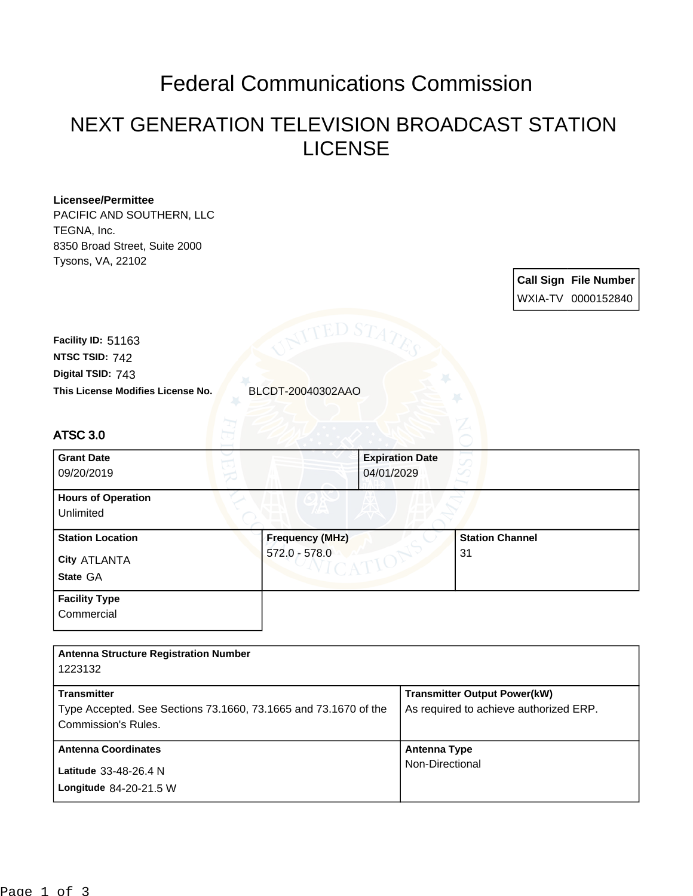## Federal Communications Commission

## NEXT GENERATION TELEVISION BROADCAST STATION LICENSE

## **Licensee/Permittee** PACIFIC AND SOUTHERN, LLC TEGNA, Inc. 8350 Broad Street, Suite 2000 Tysons, VA, 22102 **Call Sign File Number** WXIA-TV 0000152840 **This License Modifies License No.** BLCDT-20040302AAO **Digital TSID:** 743 **NTSC TSID:** 742 **Facility ID:** 51163 **State** GA **City** ATLANTA ATSC 3.0 **Grant Date** 09/20/2019 **Expiration Date** 04/01/2029 **Hours of Operation** Unlimited **Station Location Frequency (MHz)** 572.0 - 578.0 **Station Channel** 31 **Facility Type Commercial Antenna Structure Registration Number** 1223132

| <b>Transmitter</b>                                                                     | <b>Transmitter Output Power(kW)</b>    |
|----------------------------------------------------------------------------------------|----------------------------------------|
| Type Accepted. See Sections 73.1660, 73.1665 and 73.1670 of the<br>Commission's Rules. | As required to achieve authorized ERP. |
| <b>Antenna Coordinates</b>                                                             | Antenna Type                           |
| Latitude 33-48-26.4 N<br>Longitude 84-20-21.5 W                                        | Non-Directional                        |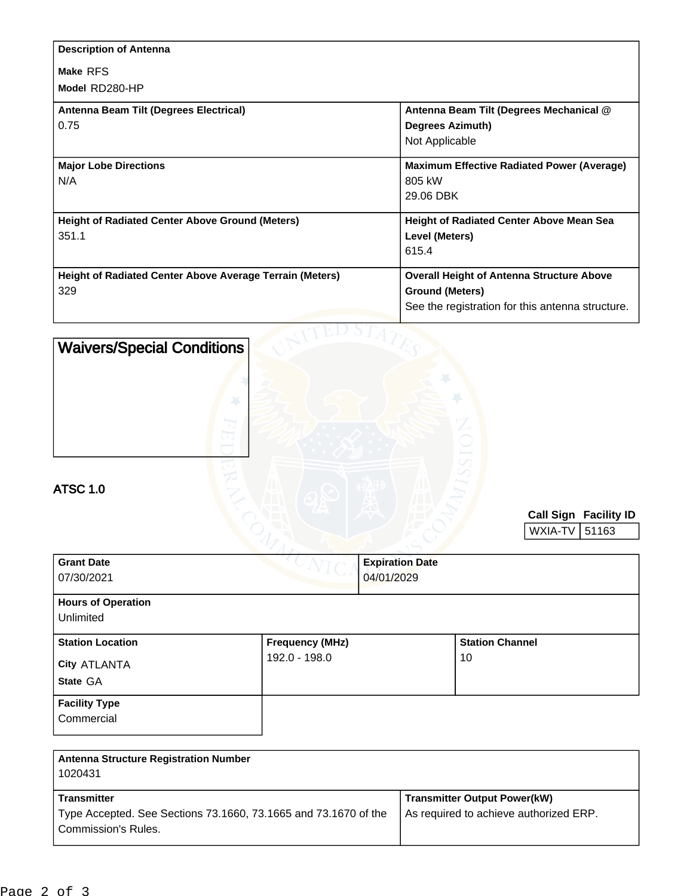| <b>Description of Antenna</b>                            |                                                   |
|----------------------------------------------------------|---------------------------------------------------|
| Make RFS                                                 |                                                   |
| Model RD280-HP                                           |                                                   |
| Antenna Beam Tilt (Degrees Electrical)                   | Antenna Beam Tilt (Degrees Mechanical @           |
| 0.75                                                     | <b>Degrees Azimuth)</b>                           |
|                                                          | Not Applicable                                    |
| <b>Major Lobe Directions</b>                             | <b>Maximum Effective Radiated Power (Average)</b> |
| N/A                                                      | 805 kW                                            |
|                                                          | 29.06 DBK                                         |
| <b>Height of Radiated Center Above Ground (Meters)</b>   | <b>Height of Radiated Center Above Mean Sea</b>   |
| 351.1                                                    | Level (Meters)                                    |
|                                                          | 615.4                                             |
| Height of Radiated Center Above Average Terrain (Meters) | <b>Overall Height of Antenna Structure Above</b>  |
| 329                                                      | <b>Ground (Meters)</b>                            |
|                                                          | See the registration for this antenna structure.  |
|                                                          |                                                   |

| <b>Waivers/Special Conditions</b><br><b>ATSC 1.0</b>    |                        |                                      |                              |
|---------------------------------------------------------|------------------------|--------------------------------------|------------------------------|
|                                                         |                        |                                      | <b>Call Sign Facility ID</b> |
|                                                         |                        |                                      | WXIA-TV<br>51163             |
| <b>Grant Date</b><br>07/30/2021                         |                        | <b>Expiration Date</b><br>04/01/2029 |                              |
| <b>Hours of Operation</b><br>Unlimited                  |                        |                                      |                              |
| <b>Station Location</b>                                 | <b>Frequency (MHz)</b> | <b>Station Channel</b>               |                              |
| City ATLANTA                                            | 192.0 - 198.0          | 10                                   |                              |
| State GA                                                |                        |                                      |                              |
| <b>Facility Type</b><br>Commercial                      |                        |                                      |                              |
| <b>Antenna Structure Registration Number</b><br>1000121 |                        |                                      |                              |

| 1020431                                                                                                             |                                                                               |
|---------------------------------------------------------------------------------------------------------------------|-------------------------------------------------------------------------------|
| <b>Transmitter</b><br>Type Accepted. See Sections 73.1660, 73.1665 and 73.1670 of the<br><b>Commission's Rules.</b> | <b>Transmitter Output Power(kW)</b><br>As required to achieve authorized ERP. |